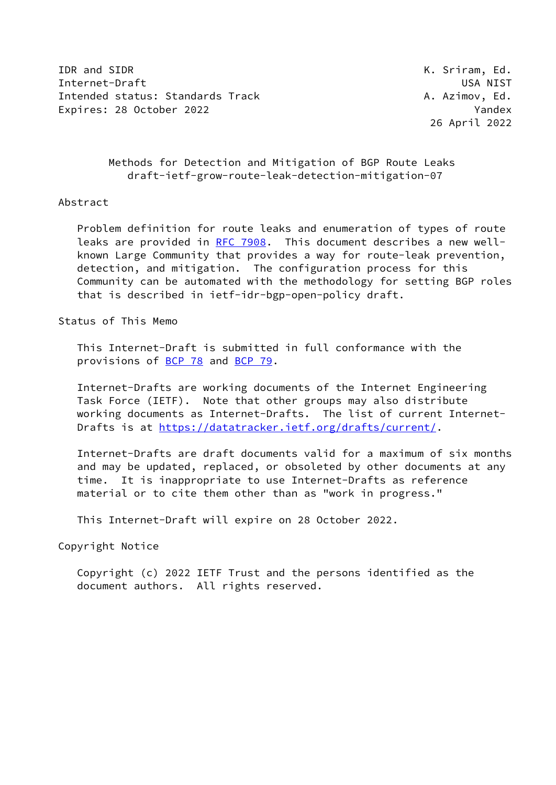IDR and SIDR **K. Sriram, Ed.** Internet-Draft USA NIST Intended status: Standards Track A. Azimov, Ed. Expires: 28 October 2022 Yandex

26 April 2022

## Methods for Detection and Mitigation of BGP Route Leaks draft-ietf-grow-route-leak-detection-mitigation-07

### Abstract

 Problem definition for route leaks and enumeration of types of route leaks are provided in [RFC 7908](https://datatracker.ietf.org/doc/pdf/rfc7908). This document describes a new well known Large Community that provides a way for route-leak prevention, detection, and mitigation. The configuration process for this Community can be automated with the methodology for setting BGP roles that is described in ietf-idr-bgp-open-policy draft.

Status of This Memo

 This Internet-Draft is submitted in full conformance with the provisions of [BCP 78](https://datatracker.ietf.org/doc/pdf/bcp78) and [BCP 79](https://datatracker.ietf.org/doc/pdf/bcp79).

 Internet-Drafts are working documents of the Internet Engineering Task Force (IETF). Note that other groups may also distribute working documents as Internet-Drafts. The list of current Internet- Drafts is at<https://datatracker.ietf.org/drafts/current/>.

 Internet-Drafts are draft documents valid for a maximum of six months and may be updated, replaced, or obsoleted by other documents at any time. It is inappropriate to use Internet-Drafts as reference material or to cite them other than as "work in progress."

This Internet-Draft will expire on 28 October 2022.

Copyright Notice

 Copyright (c) 2022 IETF Trust and the persons identified as the document authors. All rights reserved.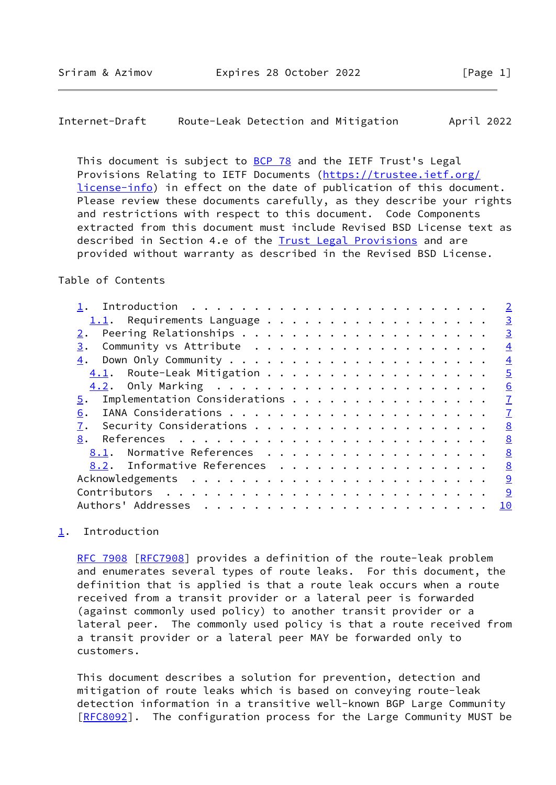<span id="page-1-1"></span>Internet-Draft Route-Leak Detection and Mitigation April 2022

This document is subject to [BCP 78](https://datatracker.ietf.org/doc/pdf/bcp78) and the IETF Trust's Legal Provisions Relating to IETF Documents ([https://trustee.ietf.org/](https://trustee.ietf.org/license-info) [license-info](https://trustee.ietf.org/license-info)) in effect on the date of publication of this document. Please review these documents carefully, as they describe your rights and restrictions with respect to this document. Code Components extracted from this document must include Revised BSD License text as described in Section 4.e of the [Trust Legal Provisions](https://trustee.ietf.org/license-info) and are provided without warranty as described in the Revised BSD License.

## Table of Contents

| $\overline{2}$                                        |
|-------------------------------------------------------|
| $\overline{3}$                                        |
| $\overline{3}$                                        |
| 3.<br>$\overline{4}$                                  |
| 4.<br>$\overline{4}$                                  |
| $\overline{5}$<br>4.1. Route-Leak Mitigation          |
| 6                                                     |
| $\overline{1}$<br>Implementation Considerations<br>5. |
| $\overline{1}$<br>6.                                  |
| 8<br>7.                                               |
| 8<br>8.                                               |
| 8<br>Normative References<br>8.1.                     |
| 8.2. Informative References<br>8                      |
| 9                                                     |
| 9                                                     |
| Authors' Addresses<br>10                              |
|                                                       |

# <span id="page-1-0"></span>[1](#page-1-0). Introduction

[RFC 7908](https://datatracker.ietf.org/doc/pdf/rfc7908) [\[RFC7908](https://datatracker.ietf.org/doc/pdf/rfc7908)] provides a definition of the route-leak problem and enumerates several types of route leaks. For this document, the definition that is applied is that a route leak occurs when a route received from a transit provider or a lateral peer is forwarded (against commonly used policy) to another transit provider or a lateral peer. The commonly used policy is that a route received from a transit provider or a lateral peer MAY be forwarded only to customers.

 This document describes a solution for prevention, detection and mitigation of route leaks which is based on conveying route-leak detection information in a transitive well-known BGP Large Community [\[RFC8092](https://datatracker.ietf.org/doc/pdf/rfc8092)]. The configuration process for the Large Community MUST be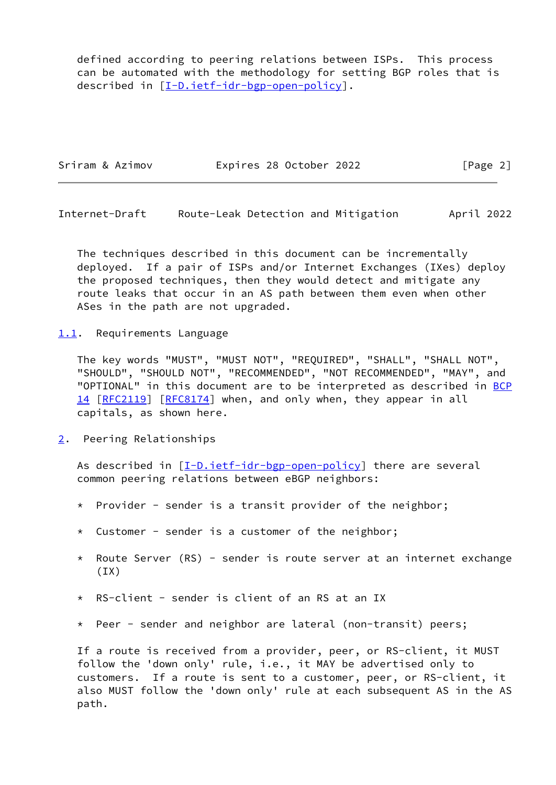defined according to peering relations between ISPs. This process can be automated with the methodology for setting BGP roles that is described in [\[I-D.ietf-idr-bgp-open-policy](#page-8-3)].

| Sriram & Azimov | Expires 28 October 2022 | [Page 2] |
|-----------------|-------------------------|----------|
|                 |                         |          |

<span id="page-2-1"></span>Internet-Draft Route-Leak Detection and Mitigation April 2022

 The techniques described in this document can be incrementally deployed. If a pair of ISPs and/or Internet Exchanges (IXes) deploy the proposed techniques, then they would detect and mitigate any route leaks that occur in an AS path between them even when other ASes in the path are not upgraded.

<span id="page-2-0"></span>[1.1](#page-2-0). Requirements Language

 The key words "MUST", "MUST NOT", "REQUIRED", "SHALL", "SHALL NOT", "SHOULD", "SHOULD NOT", "RECOMMENDED", "NOT RECOMMENDED", "MAY", and "OPTIONAL" in this document are to be interpreted as described in [BCP](https://datatracker.ietf.org/doc/pdf/bcp14) [14](https://datatracker.ietf.org/doc/pdf/bcp14) [[RFC2119\]](https://datatracker.ietf.org/doc/pdf/rfc2119) [\[RFC8174](https://datatracker.ietf.org/doc/pdf/rfc8174)] when, and only when, they appear in all capitals, as shown here.

<span id="page-2-2"></span>[2](#page-2-2). Peering Relationships

As described in  $[\underline{I-D.ietf-idr-bgp-open-policy}]$  there are several common peering relations between eBGP neighbors:

- \* Provider sender is a transit provider of the neighbor;
- \* Customer sender is a customer of the neighbor;
- \* Route Server (RS) sender is route server at an internet exchange (IX)
- \* RS-client sender is client of an RS at an IX
- \* Peer sender and neighbor are lateral (non-transit) peers;

 If a route is received from a provider, peer, or RS-client, it MUST follow the 'down only' rule, i.e., it MAY be advertised only to customers. If a route is sent to a customer, peer, or RS-client, it also MUST follow the 'down only' rule at each subsequent AS in the AS path.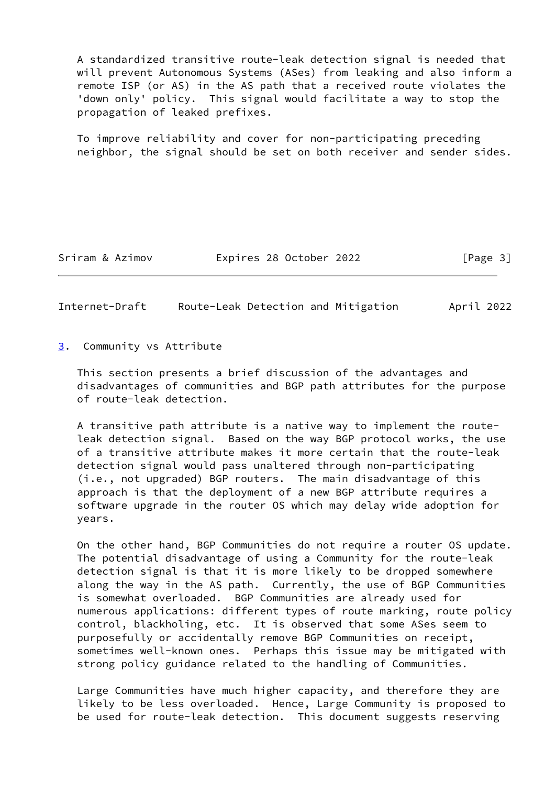A standardized transitive route-leak detection signal is needed that will prevent Autonomous Systems (ASes) from leaking and also inform a remote ISP (or AS) in the AS path that a received route violates the 'down only' policy. This signal would facilitate a way to stop the propagation of leaked prefixes.

 To improve reliability and cover for non-participating preceding neighbor, the signal should be set on both receiver and sender sides.

Sriram & Azimov Expires 28 October 2022 [Page 3]

<span id="page-3-1"></span>Internet-Draft Route-Leak Detection and Mitigation April 2022

<span id="page-3-0"></span>[3](#page-3-0). Community vs Attribute

 This section presents a brief discussion of the advantages and disadvantages of communities and BGP path attributes for the purpose of route-leak detection.

 A transitive path attribute is a native way to implement the route leak detection signal. Based on the way BGP protocol works, the use of a transitive attribute makes it more certain that the route-leak detection signal would pass unaltered through non-participating (i.e., not upgraded) BGP routers. The main disadvantage of this approach is that the deployment of a new BGP attribute requires a software upgrade in the router OS which may delay wide adoption for years.

 On the other hand, BGP Communities do not require a router OS update. The potential disadvantage of using a Community for the route-leak detection signal is that it is more likely to be dropped somewhere along the way in the AS path. Currently, the use of BGP Communities is somewhat overloaded. BGP Communities are already used for numerous applications: different types of route marking, route policy control, blackholing, etc. It is observed that some ASes seem to purposefully or accidentally remove BGP Communities on receipt, sometimes well-known ones. Perhaps this issue may be mitigated with strong policy guidance related to the handling of Communities.

 Large Communities have much higher capacity, and therefore they are likely to be less overloaded. Hence, Large Community is proposed to be used for route-leak detection. This document suggests reserving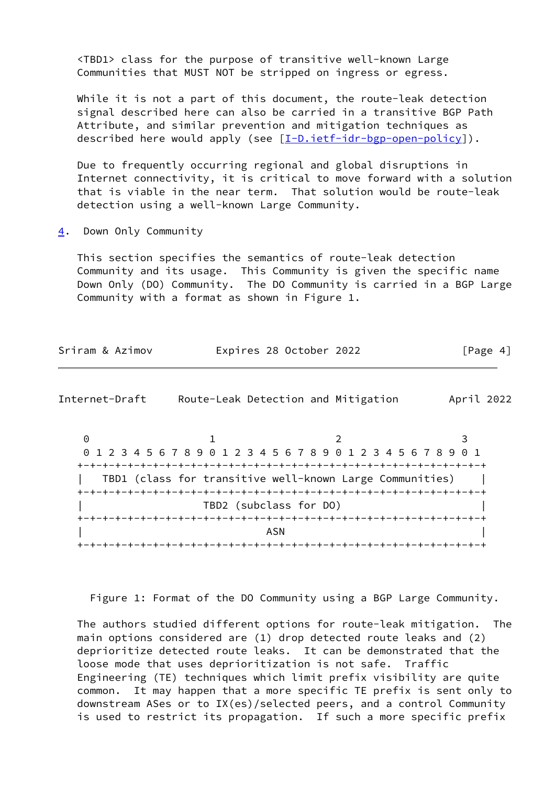<TBD1> class for the purpose of transitive well-known Large Communities that MUST NOT be stripped on ingress or egress.

 While it is not a part of this document, the route-leak detection signal described here can also be carried in a transitive BGP Path Attribute, and similar prevention and mitigation techniques as described here would apply (see [\[I-D.ietf-idr-bgp-open-policy](#page-8-3)]).

 Due to frequently occurring regional and global disruptions in Internet connectivity, it is critical to move forward with a solution that is viable in the near term. That solution would be route-leak detection using a well-known Large Community.

<span id="page-4-0"></span>[4](#page-4-0). Down Only Community

 This section specifies the semantics of route-leak detection Community and its usage. This Community is given the specific name Down Only (DO) Community. The DO Community is carried in a BGP Large Community with a format as shown in Figure 1.

| Expires 28 October 2022<br>[Page 4]<br>Sriram & Azimov |  |  |  |  |
|--------------------------------------------------------|--|--|--|--|
|--------------------------------------------------------|--|--|--|--|

<span id="page-4-1"></span>Internet-Draft Route-Leak Detection and Mitigation April 2022

0 1 2 3 0 1 2 3 4 5 6 7 8 9 0 1 2 3 4 5 6 7 8 9 0 1 2 3 4 5 6 7 8 9 0 1 +-+-+-+-+-+-+-+-+-+-+-+-+-+-+-+-+-+-+-+-+-+-+-+-+-+-+-+-+-+-+-+-+ TBD1 (class for transitive well-known Large Communities) | +-+-+-+-+-+-+-+-+-+-+-+-+-+-+-+-+-+-+-+-+-+-+-+-+-+-+-+-+-+-+-+-+ | TBD2 (subclass for DO) | +-+-+-+-+-+-+-+-+-+-+-+-+-+-+-+-+-+-+-+-+-+-+-+-+-+-+-+-+-+-+-+-+ | ASN | ASN | ASN | ASN | ASN | ASN | ASN | ASN | ASN | ASN | ASN | ASN | ASN | ASN | ASN | ASN | ASN | ASN | ASN | ASN | ASN | ASN | ASN | ASN | ASN | ASN | ASN | ASN | ASN | ASN | ASN | ASN | ASN | ASN | ASN | ASN | ASN +-+-+-+-+-+-+-+-+-+-+-+-+-+-+-+-+-+-+-+-+-+-+-+-+-+-+-+-+-+-+-+-+

Figure 1: Format of the DO Community using a BGP Large Community.

 The authors studied different options for route-leak mitigation. The main options considered are (1) drop detected route leaks and (2) deprioritize detected route leaks. It can be demonstrated that the loose mode that uses deprioritization is not safe. Traffic Engineering (TE) techniques which limit prefix visibility are quite common. It may happen that a more specific TE prefix is sent only to downstream ASes or to IX(es)/selected peers, and a control Community is used to restrict its propagation. If such a more specific prefix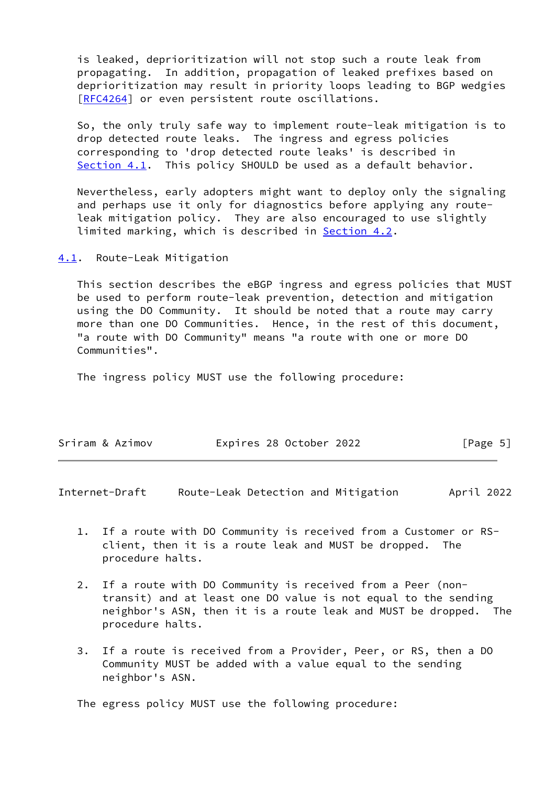is leaked, deprioritization will not stop such a route leak from propagating. In addition, propagation of leaked prefixes based on deprioritization may result in priority loops leading to BGP wedgies [\[RFC4264](https://datatracker.ietf.org/doc/pdf/rfc4264)] or even persistent route oscillations.

 So, the only truly safe way to implement route-leak mitigation is to drop detected route leaks. The ingress and egress policies corresponding to 'drop detected route leaks' is described in [Section 4.1](#page-5-0). This policy SHOULD be used as a default behavior.

 Nevertheless, early adopters might want to deploy only the signaling and perhaps use it only for diagnostics before applying any route leak mitigation policy. They are also encouraged to use slightly limited marking, which is described in **[Section 4.2](#page-6-0)**.

<span id="page-5-0"></span>[4.1](#page-5-0). Route-Leak Mitigation

 This section describes the eBGP ingress and egress policies that MUST be used to perform route-leak prevention, detection and mitigation using the DO Community. It should be noted that a route may carry more than one DO Communities. Hence, in the rest of this document, "a route with DO Community" means "a route with one or more DO Communities".

The ingress policy MUST use the following procedure:

| Expires 28 October 2022<br>Sriram & Azimov | [Page 5] |
|--------------------------------------------|----------|
|--------------------------------------------|----------|

<span id="page-5-1"></span>Internet-Draft Route-Leak Detection and Mitigation April 2022

- 1. If a route with DO Community is received from a Customer or RS client, then it is a route leak and MUST be dropped. The procedure halts.
- 2. If a route with DO Community is received from a Peer (non transit) and at least one DO value is not equal to the sending neighbor's ASN, then it is a route leak and MUST be dropped. The procedure halts.
- 3. If a route is received from a Provider, Peer, or RS, then a DO Community MUST be added with a value equal to the sending neighbor's ASN.

The egress policy MUST use the following procedure: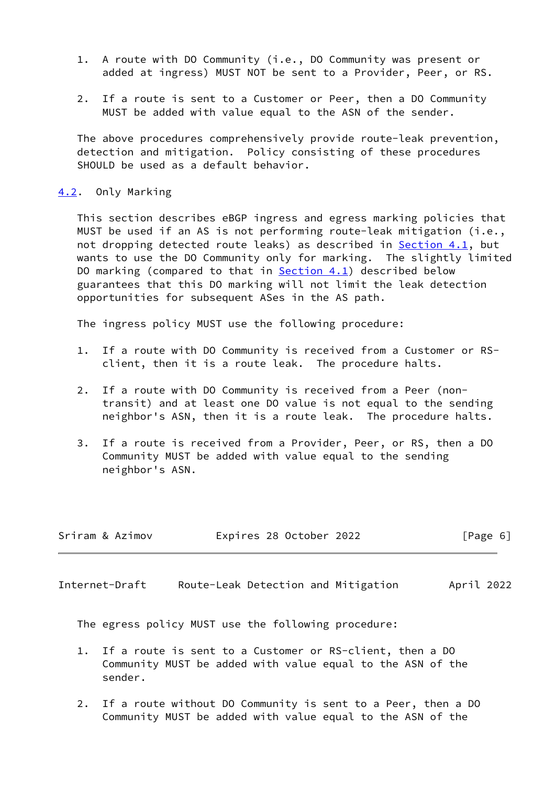- 1. A route with DO Community (i.e., DO Community was present or added at ingress) MUST NOT be sent to a Provider, Peer, or RS.
- 2. If a route is sent to a Customer or Peer, then a DO Community MUST be added with value equal to the ASN of the sender.

 The above procedures comprehensively provide route-leak prevention, detection and mitigation. Policy consisting of these procedures SHOULD be used as a default behavior.

#### <span id="page-6-0"></span>[4.2](#page-6-0). Only Marking

 This section describes eBGP ingress and egress marking policies that MUST be used if an AS is not performing route-leak mitigation (i.e., not dropping detected route leaks) as described in **[Section 4.1](#page-5-0)**, but wants to use the DO Community only for marking. The slightly limited DO marking (compared to that in  $Section 4.1$ ) described below guarantees that this DO marking will not limit the leak detection opportunities for subsequent ASes in the AS path.

The ingress policy MUST use the following procedure:

- 1. If a route with DO Community is received from a Customer or RS client, then it is a route leak. The procedure halts.
- 2. If a route with DO Community is received from a Peer (non transit) and at least one DO value is not equal to the sending neighbor's ASN, then it is a route leak. The procedure halts.
- 3. If a route is received from a Provider, Peer, or RS, then a DO Community MUST be added with value equal to the sending neighbor's ASN.

| Sriram & Azimov | Expires 28 October 2022 | [Page 6] |
|-----------------|-------------------------|----------|
|                 |                         |          |

<span id="page-6-1"></span>Internet-Draft Route-Leak Detection and Mitigation April 2022

The egress policy MUST use the following procedure:

- 1. If a route is sent to a Customer or RS-client, then a DO Community MUST be added with value equal to the ASN of the sender.
- 2. If a route without DO Community is sent to a Peer, then a DO Community MUST be added with value equal to the ASN of the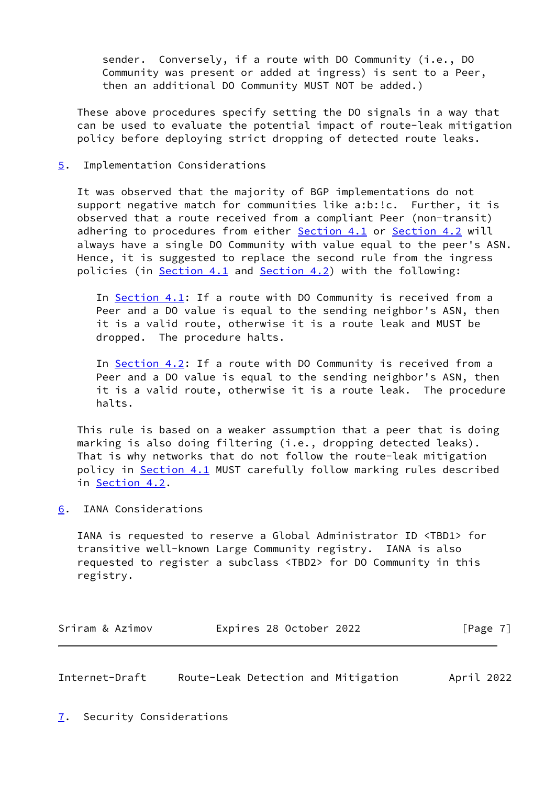sender. Conversely, if a route with DO Community (i.e., DO Community was present or added at ingress) is sent to a Peer, then an additional DO Community MUST NOT be added.)

 These above procedures specify setting the DO signals in a way that can be used to evaluate the potential impact of route-leak mitigation policy before deploying strict dropping of detected route leaks.

<span id="page-7-0"></span>[5](#page-7-0). Implementation Considerations

 It was observed that the majority of BGP implementations do not support negative match for communities like a:b:!c. Further, it is observed that a route received from a compliant Peer (non-transit) adhering to procedures from either [Section 4.1](#page-5-0) or [Section 4.2](#page-6-0) will always have a single DO Community with value equal to the peer's ASN. Hence, it is suggested to replace the second rule from the ingress policies (in [Section 4.1](#page-5-0) and [Section 4.2](#page-6-0)) with the following:

 In [Section 4.1](#page-5-0): If a route with DO Community is received from a Peer and a DO value is equal to the sending neighbor's ASN, then it is a valid route, otherwise it is a route leak and MUST be dropped. The procedure halts.

In [Section 4.2](#page-6-0): If a route with DO Community is received from a Peer and a DO value is equal to the sending neighbor's ASN, then it is a valid route, otherwise it is a route leak. The procedure halts.

 This rule is based on a weaker assumption that a peer that is doing marking is also doing filtering (i.e., dropping detected leaks). That is why networks that do not follow the route-leak mitigation policy in [Section 4.1](#page-5-0) MUST carefully follow marking rules described in [Section 4.2](#page-6-0).

<span id="page-7-1"></span>[6](#page-7-1). IANA Considerations

 IANA is requested to reserve a Global Administrator ID <TBD1> for transitive well-known Large Community registry. IANA is also requested to register a subclass <TBD2> for DO Community in this registry.

| Expires 28 October 2022<br>Sriram & Azimov | [Page 7] |
|--------------------------------------------|----------|
|--------------------------------------------|----------|

<span id="page-7-3"></span><span id="page-7-2"></span>Internet-Draft Route-Leak Detection and Mitigation April 2022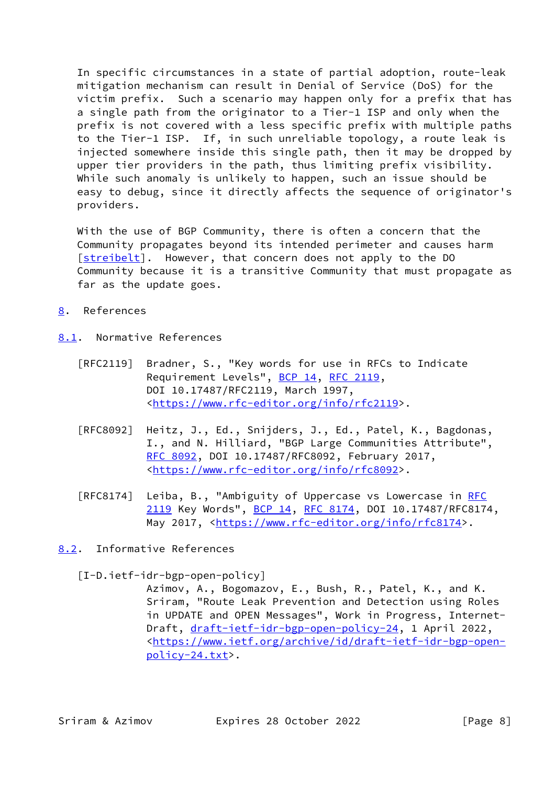In specific circumstances in a state of partial adoption, route-leak mitigation mechanism can result in Denial of Service (DoS) for the victim prefix. Such a scenario may happen only for a prefix that has a single path from the originator to a Tier-1 ISP and only when the prefix is not covered with a less specific prefix with multiple paths to the Tier-1 ISP. If, in such unreliable topology, a route leak is injected somewhere inside this single path, then it may be dropped by upper tier providers in the path, thus limiting prefix visibility. While such anomaly is unlikely to happen, such an issue should be easy to debug, since it directly affects the sequence of originator's providers.

 With the use of BGP Community, there is often a concern that the Community propagates beyond its intended perimeter and causes harm [\[streibelt](#page-9-1)]. However, that concern does not apply to the DO Community because it is a transitive Community that must propagate as far as the update goes.

- <span id="page-8-0"></span>[8](#page-8-0). References
- <span id="page-8-1"></span>[8.1](#page-8-1). Normative References
	- [RFC2119] Bradner, S., "Key words for use in RFCs to Indicate Requirement Levels", [BCP 14](https://datatracker.ietf.org/doc/pdf/bcp14), [RFC 2119](https://datatracker.ietf.org/doc/pdf/rfc2119), DOI 10.17487/RFC2119, March 1997, <[https://www.rfc-editor.org/info/rfc2119>](https://www.rfc-editor.org/info/rfc2119).
	- [RFC8092] Heitz, J., Ed., Snijders, J., Ed., Patel, K., Bagdonas, I., and N. Hilliard, "BGP Large Communities Attribute", [RFC 8092,](https://datatracker.ietf.org/doc/pdf/rfc8092) DOI 10.17487/RFC8092, February 2017, <[https://www.rfc-editor.org/info/rfc8092>](https://www.rfc-editor.org/info/rfc8092).
	- [RFC8174] Leiba, B., "Ambiguity of Uppercase vs Lowercase in [RFC](https://datatracker.ietf.org/doc/pdf/rfc2119) [2119](https://datatracker.ietf.org/doc/pdf/rfc2119) Key Words", [BCP 14](https://datatracker.ietf.org/doc/pdf/bcp14), [RFC 8174,](https://datatracker.ietf.org/doc/pdf/rfc8174) DOI 10.17487/RFC8174, May 2017, [<https://www.rfc-editor.org/info/rfc8174](https://www.rfc-editor.org/info/rfc8174)>.
- <span id="page-8-2"></span>[8.2](#page-8-2). Informative References

<span id="page-8-3"></span>[I-D.ietf-idr-bgp-open-policy]

 Azimov, A., Bogomazov, E., Bush, R., Patel, K., and K. Sriram, "Route Leak Prevention and Detection using Roles in UPDATE and OPEN Messages", Work in Progress, Internet Draft, [draft-ietf-idr-bgp-open-policy-24,](https://datatracker.ietf.org/doc/pdf/draft-ietf-idr-bgp-open-policy-24) 1 April 2022, <[https://www.ietf.org/archive/id/draft-ietf-idr-bgp-open](https://www.ietf.org/archive/id/draft-ietf-idr-bgp-open-policy-24.txt) [policy-24.txt>](https://www.ietf.org/archive/id/draft-ietf-idr-bgp-open-policy-24.txt).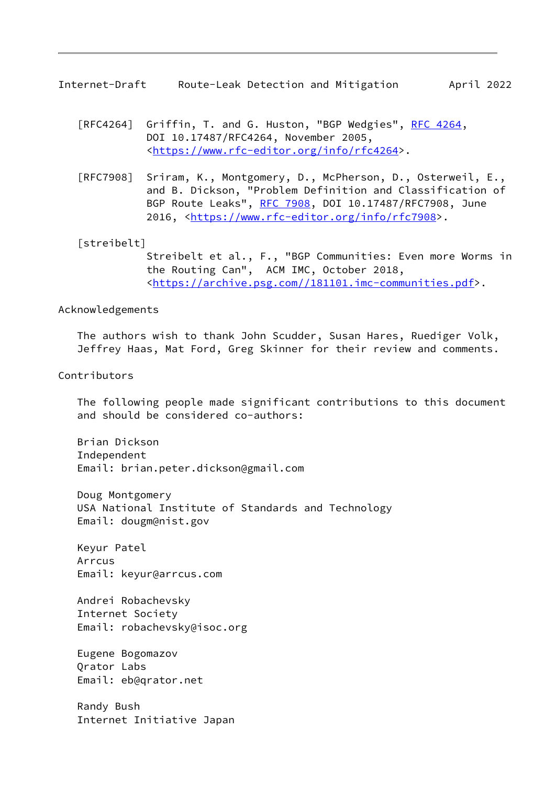<span id="page-9-0"></span>Internet-Draft Route-Leak Detection and Mitigation April 2022

- [RFC4264] Griffin, T. and G. Huston, "BGP Wedgies", [RFC 4264](https://datatracker.ietf.org/doc/pdf/rfc4264), DOI 10.17487/RFC4264, November 2005, <[https://www.rfc-editor.org/info/rfc4264>](https://www.rfc-editor.org/info/rfc4264).
- [RFC7908] Sriram, K., Montgomery, D., McPherson, D., Osterweil, E., and B. Dickson, "Problem Definition and Classification of BGP Route Leaks", [RFC 7908](https://datatracker.ietf.org/doc/pdf/rfc7908), DOI 10.17487/RFC7908, June 2016, [<https://www.rfc-editor.org/info/rfc7908](https://www.rfc-editor.org/info/rfc7908)>.

<span id="page-9-1"></span>[streibelt]

 Streibelt et al., F., "BGP Communities: Even more Worms in the Routing Can", ACM IMC, October 2018, <[https://archive.psg.com//181101.imc-communities.pdf>](https://archive.psg.com//181101.imc-communities.pdf).

## Acknowledgements

 The authors wish to thank John Scudder, Susan Hares, Ruediger Volk, Jeffrey Haas, Mat Ford, Greg Skinner for their review and comments.

Contributors

 The following people made significant contributions to this document and should be considered co-authors:

 Brian Dickson Independent Email: brian.peter.dickson@gmail.com

 Doug Montgomery USA National Institute of Standards and Technology Email: dougm@nist.gov

 Keyur Patel Arrcus Email: keyur@arrcus.com

 Andrei Robachevsky Internet Society Email: robachevsky@isoc.org

 Eugene Bogomazov Qrator Labs Email: eb@qrator.net

 Randy Bush Internet Initiative Japan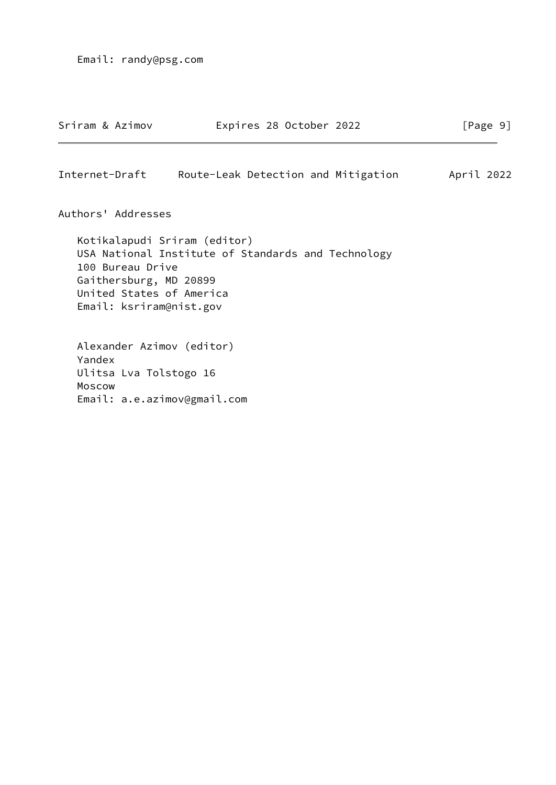<span id="page-10-0"></span>

| Sriram & Azimov  |                                            | Expires 28 October 2022                                                                                                                   | [Page 9]   |
|------------------|--------------------------------------------|-------------------------------------------------------------------------------------------------------------------------------------------|------------|
| Internet-Draft   |                                            | Route-Leak Detection and Mitigation                                                                                                       | April 2022 |
|                  | Authors' Addresses                         |                                                                                                                                           |            |
|                  | 100 Bureau Drive<br>Gaithersburg, MD 20899 | Kotikalapudi Sriram (editor)<br>USA National Institute of Standards and Technology<br>United States of America<br>Email: ksriram@nist.gov |            |
| Yandex<br>Moscow | Ulitsa Lva Tolstogo 16                     | Alexander Azimov (editor)<br>Email: a.e.azimov@gmail.com                                                                                  |            |